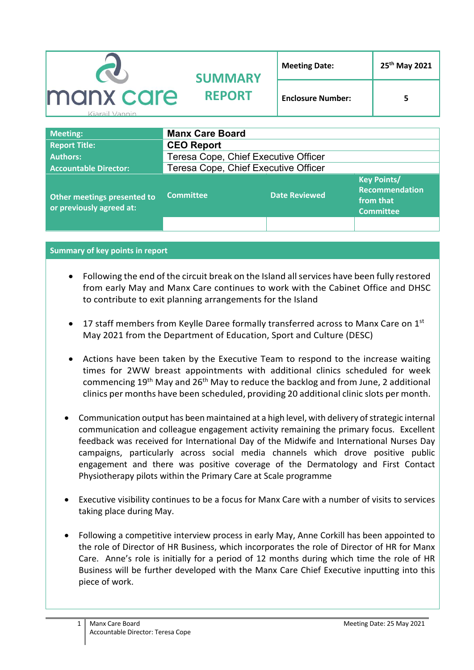|                             | <b>SUMMARY</b>                       | <b>Meeting Date:</b>     | 25 <sup>th</sup> May 2021 |  |
|-----------------------------|--------------------------------------|--------------------------|---------------------------|--|
| manx care<br>Kiarail Vannin | <b>REPORT</b>                        | <b>Enclosure Number:</b> | 5                         |  |
| <b>Meeting:</b>             | <b>Manx Care Board</b>               |                          |                           |  |
| <b>Report Title:</b>        | <b>CEO Report</b>                    |                          |                           |  |
| <b>Authors:</b>             | Teresa Cope, Chief Executive Officer |                          |                           |  |

| <b>Accountable Director:</b>                            | Teresa Cope, Chief Executive Officer |                      |                                                                              |
|---------------------------------------------------------|--------------------------------------|----------------------|------------------------------------------------------------------------------|
| Other meetings presented to<br>or previously agreed at: | <b>Committee</b>                     | <b>Date Reviewed</b> | <b>Key Points/</b><br><b>Recommendation</b><br>from that<br><b>Committee</b> |
|                                                         |                                      |                      |                                                                              |

**Summary of key points in report**

- Following the end of the circuit break on the Island all services have been fully restored from early May and Manx Care continues to work with the Cabinet Office and DHSC to contribute to exit planning arrangements for the Island
- 17 staff members from Keylle Daree formally transferred across to Manx Care on 1<sup>st</sup> May 2021 from the Department of Education, Sport and Culture (DESC)
- Actions have been taken by the Executive Team to respond to the increase waiting times for 2WW breast appointments with additional clinics scheduled for week commencing 19<sup>th</sup> May and 26<sup>th</sup> May to reduce the backlog and from June, 2 additional clinics per months have been scheduled, providing 20 additional clinic slots per month.
- Communication output has been maintained at a high level, with delivery of strategic internal communication and colleague engagement activity remaining the primary focus. Excellent feedback was received for International Day of the Midwife and International Nurses Day campaigns, particularly across social media channels which drove positive public engagement and there was positive coverage of the Dermatology and First Contact Physiotherapy pilots within the Primary Care at Scale programme
- Executive visibility continues to be a focus for Manx Care with a number of visits to services taking place during May.
- Following a competitive interview process in early May, Anne Corkill has been appointed to the role of Director of HR Business, which incorporates the role of Director of HR for Manx Care. Anne's role is initially for a period of 12 months during which time the role of HR Business will be further developed with the Manx Care Chief Executive inputting into this piece of work.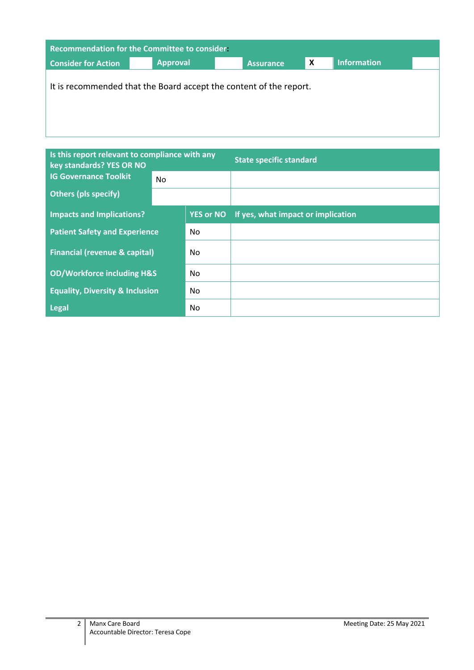| <b>Recommendation for the Committee to consider.</b> |                                                                    |           |   |                    |  |
|------------------------------------------------------|--------------------------------------------------------------------|-----------|---|--------------------|--|
| <b>Consider for Action</b>                           | <b>Approval</b>                                                    | Assurance | X | <b>Information</b> |  |
|                                                      | It is recommended that the Board accept the content of the report. |           |   |                    |  |

| Is this report relevant to compliance with any<br>key standards? YES OR NO |     |                  | <b>State specific standard</b>     |  |
|----------------------------------------------------------------------------|-----|------------------|------------------------------------|--|
| <b>IG Governance Toolkit</b>                                               | No. |                  |                                    |  |
| <b>Others (pls specify)</b>                                                |     |                  |                                    |  |
| <b>Impacts and Implications?</b>                                           |     | <b>YES or NO</b> | If yes, what impact or implication |  |
| <b>Patient Safety and Experience</b>                                       |     | No               |                                    |  |
| <b>Financial (revenue &amp; capital)</b>                                   |     | No               |                                    |  |
| <b>OD/Workforce including H&amp;S</b>                                      |     | No               |                                    |  |
| <b>Equality, Diversity &amp; Inclusion</b>                                 |     | No               |                                    |  |
| <b>Legal</b>                                                               |     | No               |                                    |  |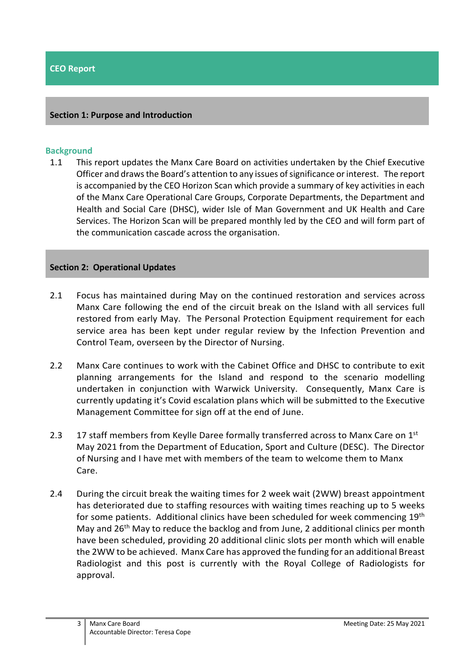#### **Section 1: Purpose and Introduction**

#### **Background**

1.1 This report updates the Manx Care Board on activities undertaken by the Chief Executive Officer and draws the Board's attention to any issues of significance or interest. The report is accompanied by the CEO Horizon Scan which provide a summary of key activities in each of the Manx Care Operational Care Groups, Corporate Departments, the Department and Health and Social Care (DHSC), wider Isle of Man Government and UK Health and Care Services. The Horizon Scan will be prepared monthly led by the CEO and will form part of the communication cascade across the organisation.

#### **Section 2: Operational Updates**

- 2.1 Focus has maintained during May on the continued restoration and services across Manx Care following the end of the circuit break on the Island with all services full restored from early May. The Personal Protection Equipment requirement for each service area has been kept under regular review by the Infection Prevention and Control Team, overseen by the Director of Nursing.
- 2.2 Manx Care continues to work with the Cabinet Office and DHSC to contribute to exit planning arrangements for the Island and respond to the scenario modelling undertaken in conjunction with Warwick University. Consequently, Manx Care is currently updating it's Covid escalation plans which will be submitted to the Executive Management Committee for sign off at the end of June.
- 2.3 17 staff members from Keylle Daree formally transferred across to Manx Care on 1st May 2021 from the Department of Education, Sport and Culture (DESC). The Director of Nursing and I have met with members of the team to welcome them to Manx Care.
- 2.4 During the circuit break the waiting times for 2 week wait (2WW) breast appointment has deteriorated due to staffing resources with waiting times reaching up to 5 weeks for some patients. Additional clinics have been scheduled for week commencing 19<sup>th</sup> May and 26th May to reduce the backlog and from June, 2 additional clinics per month have been scheduled, providing 20 additional clinic slots per month which will enable the 2WW to be achieved. Manx Care has approved the funding for an additional Breast Radiologist and this post is currently with the Royal College of Radiologists for approval.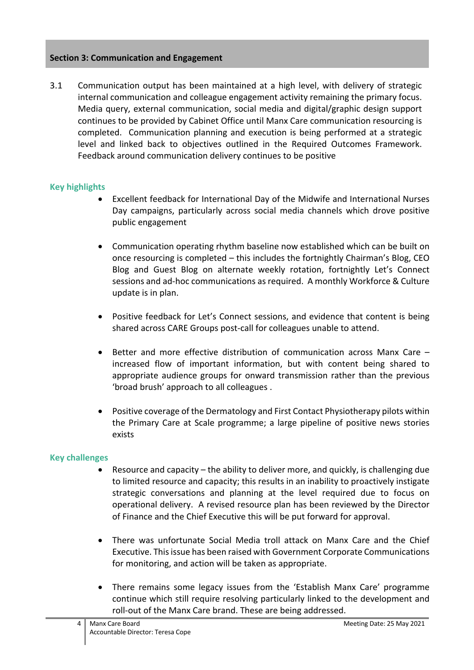### **Section 3: Communication and Engagement**

3.1 Communication output has been maintained at a high level, with delivery of strategic internal communication and colleague engagement activity remaining the primary focus. Media query, external communication, social media and digital/graphic design support continues to be provided by Cabinet Office until Manx Care communication resourcing is completed. Communication planning and execution is being performed at a strategic level and linked back to objectives outlined in the Required Outcomes Framework. Feedback around communication delivery continues to be positive

### **Key highlights**

- Excellent feedback for International Day of the Midwife and International Nurses Day campaigns, particularly across social media channels which drove positive public engagement
- Communication operating rhythm baseline now established which can be built on once resourcing is completed – this includes the fortnightly Chairman's Blog, CEO Blog and Guest Blog on alternate weekly rotation, fortnightly Let's Connect sessions and ad-hoc communications as required. A monthly Workforce & Culture update is in plan.
- Positive feedback for Let's Connect sessions, and evidence that content is being shared across CARE Groups post-call for colleagues unable to attend.
- Better and more effective distribution of communication across Manx Care increased flow of important information, but with content being shared to appropriate audience groups for onward transmission rather than the previous 'broad brush' approach to all colleagues .
- Positive coverage of the Dermatology and First Contact Physiotherapy pilots within the Primary Care at Scale programme; a large pipeline of positive news stories exists

# **Key challenges**

- Resource and capacity the ability to deliver more, and quickly, is challenging due to limited resource and capacity; this results in an inability to proactively instigate strategic conversations and planning at the level required due to focus on operational delivery. A revised resource plan has been reviewed by the Director of Finance and the Chief Executive this will be put forward for approval.
- There was unfortunate Social Media troll attack on Manx Care and the Chief Executive. This issue has been raised with Government Corporate Communications for monitoring, and action will be taken as appropriate.
- There remains some legacy issues from the 'Establish Manx Care' programme continue which still require resolving particularly linked to the development and roll-out of the Manx Care brand. These are being addressed.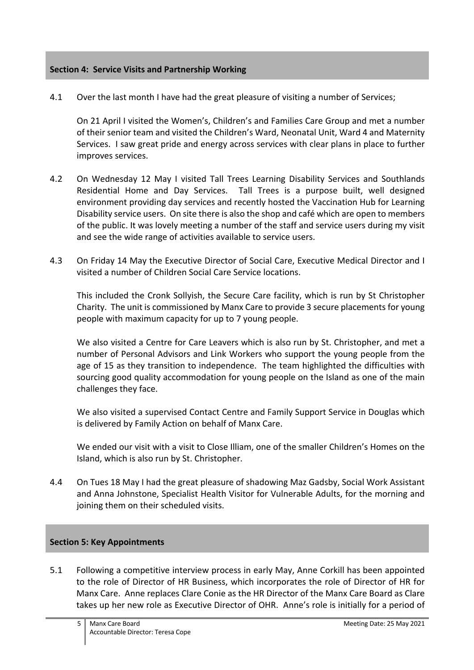## **Section 4: Service Visits and Partnership Working**

4.1 Over the last month I have had the great pleasure of visiting a number of Services;

On 21 April I visited the Women's, Children's and Families Care Group and met a number of their senior team and visited the Children's Ward, Neonatal Unit, Ward 4 and Maternity Services. I saw great pride and energy across services with clear plans in place to further improves services.

- 4.2 On Wednesday 12 May I visited Tall Trees Learning Disability Services and Southlands Residential Home and Day Services. Tall Trees is a purpose built, well designed environment providing day services and recently hosted the Vaccination Hub for Learning Disability service users. On site there is also the shop and café which are open to members of the public. It was lovely meeting a number of the staff and service users during my visit and see the wide range of activities available to service users.
- 4.3 On Friday 14 May the Executive Director of Social Care, Executive Medical Director and I visited a number of Children Social Care Service locations.

This included the Cronk Sollyish, the Secure Care facility, which is run by St Christopher Charity. The unit is commissioned by Manx Care to provide 3 secure placements for young people with maximum capacity for up to 7 young people.

We also visited a Centre for Care Leavers which is also run by St. Christopher, and met a number of Personal Advisors and Link Workers who support the young people from the age of 15 as they transition to independence. The team highlighted the difficulties with sourcing good quality accommodation for young people on the Island as one of the main challenges they face.

We also visited a supervised Contact Centre and Family Support Service in Douglas which is delivered by Family Action on behalf of Manx Care.

We ended our visit with a visit to Close Illiam, one of the smaller Children's Homes on the Island, which is also run by St. Christopher.

4.4 On Tues 18 May I had the great pleasure of shadowing Maz Gadsby, Social Work Assistant and Anna Johnstone, Specialist Health Visitor for Vulnerable Adults, for the morning and joining them on their scheduled visits.

### **Section 5: Key Appointments**

5.1 Following a competitive interview process in early May, Anne Corkill has been appointed to the role of Director of HR Business, which incorporates the role of Director of HR for Manx Care. Anne replaces Clare Conie as the HR Director of the Manx Care Board as Clare takes up her new role as Executive Director of OHR. Anne's role is initially for a period of